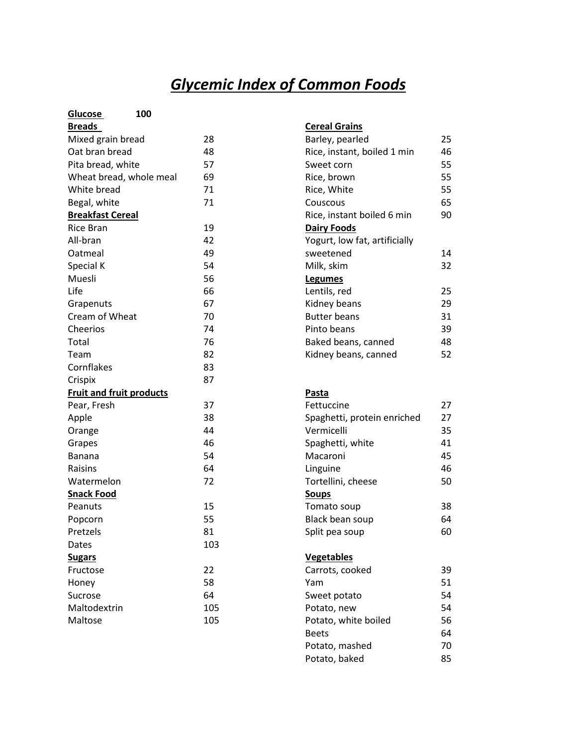# *Glycemic Index of Common Foods*

| Glucose<br>100                  |     |                               |                |
|---------------------------------|-----|-------------------------------|----------------|
| <b>Breads</b>                   |     | <b>Cereal Grains</b>          |                |
| Mixed grain bread               | 28  | Barley, pearled               | 25             |
| Oat bran bread                  | 48  | Rice, instant, boiled 1 min   | 46             |
| Pita bread, white               | 57  | Sweet corn                    | 55             |
| Wheat bread, whole meal         | 69  | Rice, brown                   | 55             |
| White bread                     | 71  | Rice, White                   | 55             |
| Begal, white                    | 71  | Couscous                      | 65             |
| <b>Breakfast Cereal</b>         |     | Rice, instant boiled 6 min    | 90             |
| <b>Rice Bran</b>                | 19  | <b>Dairy Foods</b>            |                |
| All-bran                        | 42  | Yogurt, low fat, artificially |                |
| Oatmeal                         | 49  | sweetened                     | 14             |
| Special K                       | 54  | Milk, skim                    | 32             |
| Muesli                          | 56  | <b>Legumes</b>                |                |
| Life                            | 66  | Lentils, red                  | 25             |
| Grapenuts                       | 67  | Kidney beans                  | 29             |
| Cream of Wheat                  | 70  | <b>Butter beans</b>           | 31             |
| Cheerios                        | 74  | Pinto beans                   | 39             |
| Total                           | 76  | Baked beans, canned           | 48             |
| Team                            | 82  | Kidney beans, canned          | 52             |
| Cornflakes                      | 83  |                               |                |
| Crispix                         | 87  |                               |                |
| <b>Fruit and fruit products</b> |     | Pasta                         |                |
| Pear, Fresh                     | 37  | Fettuccine                    | 27             |
| Apple                           | 38  | Spaghetti, protein enriched   | 27             |
| Orange                          | 44  | Vermicelli                    | 35             |
| Grapes                          | 46  | Spaghetti, white              | 41             |
| Banana                          | 54  | Macaroni                      | 45             |
| Raisins                         | 64  | Linguine                      | 46             |
| Watermelon                      | 72  | Tortellini, cheese            | 50             |
| <b>Snack Food</b>               |     | <b>Soups</b>                  |                |
| Peanuts                         | 15  | Tomato soup                   | 38             |
| Popcorn                         | 55  | Black bean soup               | 64             |
| Pretzels                        | 81  | Split pea soup                | 60             |
| Dates                           | 103 |                               |                |
| <b>Sugars</b>                   |     | <b>Vegetables</b>             |                |
| Fructose                        | 22  | Carrots, cooked               | 39             |
| Honey                           | 58  | Yam                           | 51             |
| Sucrose                         | 64  | Sweet potato                  | 54             |
| Maltodextrin                    | 105 | Potato, new                   | 54             |
| Maltose                         | 105 | Potato, white boiled          | 56             |
|                                 |     | $D \cap \cap + \cap$          | C <sub>1</sub> |

| Cereal Grains                 |    |
|-------------------------------|----|
| Barley, pearled               | 25 |
| Rice, instant, boiled 1 min   | 46 |
| Sweet corn                    | 55 |
| Rice, brown                   | 55 |
| Rice, White                   | 55 |
| Couscous                      | 65 |
| Rice, instant boiled 6 min    | 90 |
| <b>Dairy Foods</b>            |    |
| Yogurt, low fat, artificially |    |
| sweetened                     | 14 |
| Milk, skim                    | 32 |
| <b>Legumes</b>                |    |
| Lentils, red                  | 25 |
| Kidney beans                  | 29 |
| Butter beans                  | 31 |
| Pinto beans                   | 39 |
| Baked beans, canned           | 48 |
| Kidney beans, canned          | 52 |
|                               |    |

| Fettuccine                  | 27 |
|-----------------------------|----|
| Spaghetti, protein enriched | 27 |
| Vermicelli                  | 35 |
| Spaghetti, white            | 41 |
| Macaroni                    | 45 |
| Linguine                    | 46 |
| Tortellini, cheese          | 50 |
| <b>Soups</b>                |    |
| Tomato soup                 | 38 |
| Black bean soup             | 64 |
| Split pea soup              | 60 |
|                             |    |
| <b>Vegetables</b>           |    |
| Carrots, cooked             | 39 |
|                             |    |

| Carrots, cooked      | 39 |
|----------------------|----|
| Yam                  | 51 |
| Sweet potato         | 54 |
| Potato, new          | 54 |
| Potato, white boiled | 56 |
| Beets                | 64 |
| Potato, mashed       | 70 |
| Potato, baked        | 85 |
|                      |    |